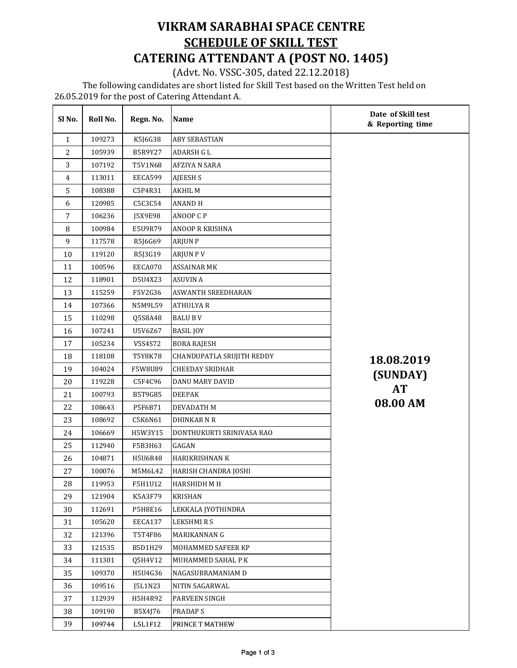## VIKRAM SARABHAI SPACE CENTRE SCHEDULE OF SKILL TEST CATERING ATTENDANT A (POST NO. 1405)

(Advt. No. VSSC-305, dated 22.12.2018)

 The following candidates are short listed for Skill Test based on the Written Test held on 26.05.2019 for the post of Catering Attendant A.

| Sl No.         | Roll No. | Regn. No. | Name                      | Date of Skill test<br>& Reporting time |
|----------------|----------|-----------|---------------------------|----------------------------------------|
| $\mathbf{1}$   | 109273   | K5J6G38   | <b>ABY SEBASTIAN</b>      |                                        |
| $\overline{2}$ | 105939   | B5R9Y27   | ADARSH G L                |                                        |
| 3              | 107192   | T5V1N68   | <b>AFZIYA N SARA</b>      |                                        |
| $\overline{4}$ | 113011   | EECA599   | AJEESH S                  |                                        |
| 5              | 108388   | C5P4R31   | AKHIL M                   |                                        |
| 6              | 120985   | C5C3C54   | <b>ANAND H</b>            |                                        |
| 7              | 106236   | J5X9E98   | ANOOP C P                 |                                        |
| $\, 8$         | 100984   | E5U9R79   | ANOOP R KRISHNA           |                                        |
| $\overline{9}$ | 117578   | R5J6G69   | <b>ARJUN P</b>            |                                        |
| 10             | 119120   | R5J3G19   | <b>ARJUN PV</b>           |                                        |
| 11             | 100596   | EECA070   | <b>ASSAINAR MK</b>        |                                        |
| 12             | 118901   | D5U4X23   | <b>ASUVIN A</b>           |                                        |
| 13             | 115259   | F5V2G36   | <b>ASWANTH SREEDHARAN</b> |                                        |
| 14             | 107366   | N5M9L59   | <b>ATHULYAR</b>           |                                        |
| 15             | 110298   | Q5S8A48   | <b>BALU BV</b>            |                                        |
| 16             | 107241   | U5V6Z67   | <b>BASIL JOY</b>          |                                        |
| 17             | 105234   | V5S4S72   | <b>BORA RAJESH</b>        |                                        |
| 18             | 118108   | T5Y8K78   | CHANDUPATLA SRUJITH REDDY | 18.08.2019                             |
| 19             | 104024   | F5W8U89   | <b>CHEEDAY SRIDHAR</b>    | (SUNDAY)                               |
| 20             | 119228   | C5F4C96   | DANU MARY DAVID           |                                        |
| 21             | 100793   | B5T9G85   | <b>DEEPAK</b>             | <b>AT</b>                              |
| 22             | 108643   | P5F6B71   | DEVADATH M                | 08.00 AM                               |
| 23             | 108692   | C5K6N61   | <b>DHINKAR N R</b>        |                                        |
| 24             | 106669   | H5W3Y15   | DONTHUKURTI SRINIVASA RAO |                                        |
| 25             | 112940   | F5B3H63   | GAGAN                     |                                        |
| 26             | 104871   | H5U6R48   | HARIKRISHNAN K            |                                        |
| 27             | 100076   | M5M6L42   | HARISH CHANDRA JOSHI      |                                        |
| ${\bf 28}$     | 119953   | F5H1U12   | <b>HARSHIDH M H</b>       |                                        |
| 29             | 121904   | K5A3F79   | <b>KRISHAN</b>            |                                        |
| 30             | 112691   | P5H8E16   | LEKKALA JYOTHINDRA        |                                        |
| 31             | 105620   | EECA137   | LEKSHMIRS                 |                                        |
| 32             | 121396   | T5T4F86   | MARIKANNAN G              |                                        |
| 33             | 121535   | B5D1H29   | MOHAMMED SAFEER KP        |                                        |
| 34             | 111301   | Q5H4V12   | MUHAMMED SAHAL P K        |                                        |
| 35             | 109370   | H5U4G36   | NAGASUBRAMANIAM D         |                                        |
| 36             | 109516   | J5L1N23   | NITIN SAGARWAL            |                                        |
| 37             | 112939   | H5H4R92   | PARVEEN SINGH             |                                        |
| 38             | 109190   | B5X4J76   | PRADAP S                  |                                        |
| 39             | 109744   | L5L1F12   | PRINCE T MATHEW           |                                        |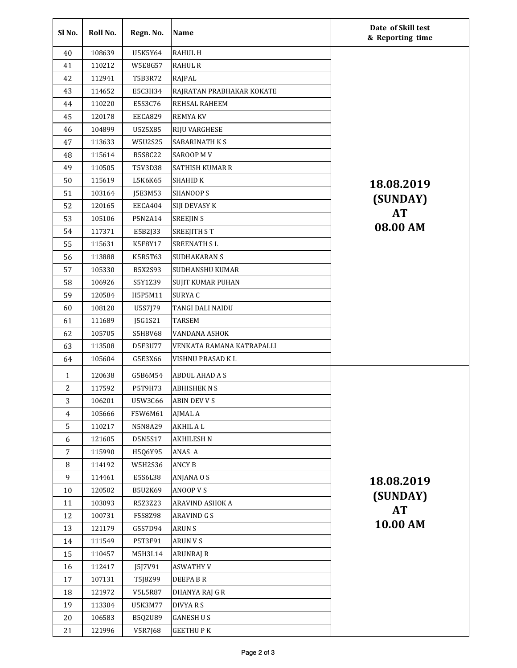| Sl <sub>No.</sub> | Roll No. | Regn. No.      | Name                      | Date of Skill test<br>& Reporting time |
|-------------------|----------|----------------|---------------------------|----------------------------------------|
| 40                | 108639   | U5K5Y64        | <b>RAHUL H</b>            |                                        |
| 41                | 110212   | <b>W5E8G57</b> | <b>RAHUL R</b>            |                                        |
| 42                | 112941   | T5B3R72        | RAJPAL                    |                                        |
| 43                | 114652   | E5C3H34        | RAJRATAN PRABHAKAR KOKATE |                                        |
| 44                | 110220   | E5S3C76        | <b>REHSAL RAHEEM</b>      |                                        |
| 45                | 120178   | EECA829        | <b>REMYAKV</b>            |                                        |
| 46                | 104899   | U5Z5X85        | <b>RIJU VARGHESE</b>      |                                        |
| 47                | 113633   | W5U2S25        | <b>SABARINATH K S</b>     |                                        |
| 48                | 115614   | <b>B5S8C22</b> | <b>SAROOP MV</b>          |                                        |
| 49                | 110505   | T5V3D38        | <b>SATHISH KUMAR R</b>    |                                        |
| 50                | 115619   | L5K6K65        | <b>SHAHID K</b>           | 18.08.2019                             |
| 51                | 103164   | J5E3M53        | <b>SHANOOP S</b>          | (SUNDAY)                               |
| 52                | 120165   | EECA404        | SIJI DEVASY K             |                                        |
| 53                | 105106   | P5N2A14        | <b>SREEJIN S</b>          | <b>AT</b>                              |
| 54                | 117371   | E5B2J33        | SREEJITH ST               | 08.00 AM                               |
| 55                | 115631   | K5F8Y17        | <b>SREENATH SL</b>        |                                        |
| 56                | 113888   | K5R5T63        | <b>SUDHAKARAN S</b>       |                                        |
| 57                | 105330   | B5X2S93        | SUDHANSHU KUMAR           |                                        |
| 58                | 106926   | S5Y1Z39        | <b>SUJIT KUMAR PUHAN</b>  |                                        |
| 59                | 120584   | H5P5M11        | <b>SURYAC</b>             |                                        |
| 60                | 108120   | U5S7J79        | TANGI DALI NAIDU          |                                        |
| 61                | 111689   | J5G1S21        | <b>TARSEM</b>             |                                        |
| 62                | 105705   | S5H8V68        | VANDANA ASHOK             |                                        |
| 63                | 113508   | D5F3U77        | VENKATA RAMANA KATRAPALLI |                                        |
| 64                | 105604   | G5E3X66        | VISHNU PRASAD K L         |                                        |
| $\mathbf{1}$      | 120638   | G5B6M54        | ABDUL AHAD A S            |                                        |
| $\overline{c}$    | 117592   | P5T9H73        | <b>ABHISHEK N S</b>       |                                        |
| 3                 | 106201   | U5W3C66        | <b>ABIN DEV V S</b>       |                                        |
| 4                 | 105666   | F5W6M61        | AJMAL A                   |                                        |
| 5                 | 110217   | N5N8A29        | <b>AKHIL AL</b>           |                                        |
| 6                 | 121605   | D5N5S17        | <b>AKHILESH N</b>         |                                        |
| $\overline{7}$    | 115990   | H5Q6Y95        | ANAS A                    |                                        |
| 8                 | 114192   | W5H2S36        | <b>ANCY B</b>             |                                        |
| 9                 | 114461   | E5S6L38        | ANJANA O S                | 18.08.2019                             |
| 10                | 120502   | <b>B5U2K69</b> | ANOOP V S                 |                                        |
| 11                | 103093   | R5Z3Z23        | ARAVIND ASHOK A           | (SUNDAY)                               |
| 12                | 100731   | F5S8Z98        | <b>ARAVIND G S</b>        | <b>AT</b>                              |
| 13                | 121179   | G5S7D94        | <b>ARUNS</b>              | 10.00 AM                               |
| 14                | 111549   | P5T3F91        | <b>ARUN V S</b>           |                                        |
| 15                | 110457   | M5H3L14        | ARUNRAJ R                 |                                        |
| 16                | 112417   | J5J7V91        | <b>ASWATHY V</b>          |                                        |
| 17                | 107131   | T5J8Z99        | DEEPA B R                 |                                        |
| 18                | 121972   | <b>V5L5R87</b> | DHANYA RAJ G R            |                                        |
| 19                | 113304   | U5K3M77        | DIVYA R S                 |                                        |
| 20                | 106583   | B5Q2U89        | <b>GANESH US</b>          |                                        |
| 21                | 121996   | V5R7J68        | <b>GEETHUPK</b>           |                                        |